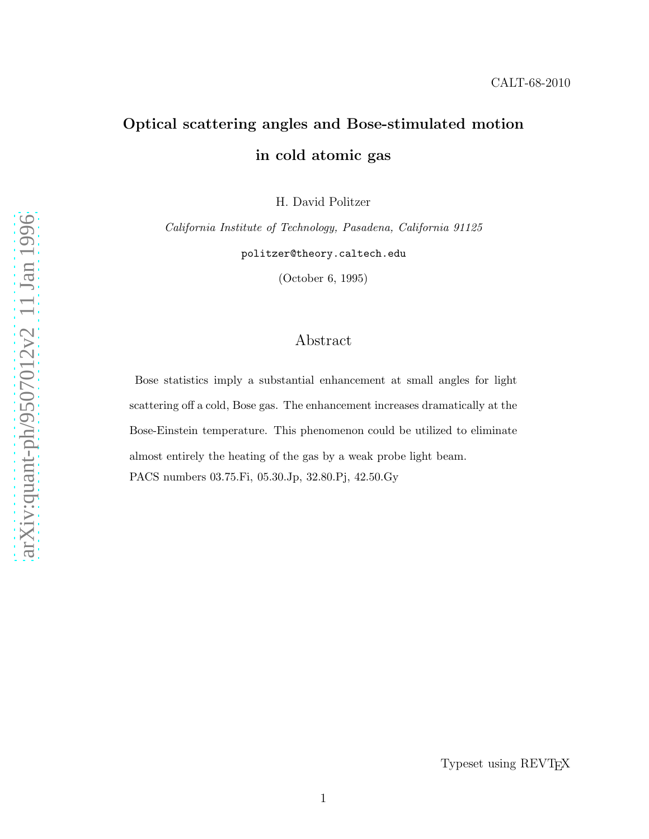# Optical scattering angles and Bose-stimulated motion in cold atomic gas

H. David Politzer

California Institute of Technology, Pasadena, California 91125 politzer@theory.caltech.edu

(October 6, 1995)

## Abstract

Bose statistics imply a substantial enhancement at small angles for light scattering off a cold, Bose gas. The enhancement increases dramatically at the Bose-Einstein temperature. This phenomenon could be utilized to eliminate almost entirely the heating of the gas by a weak probe light beam. PACS numbers 03.75.Fi, 05.30.Jp, 32.80.Pj, 42.50.Gy

Typeset using REVTEX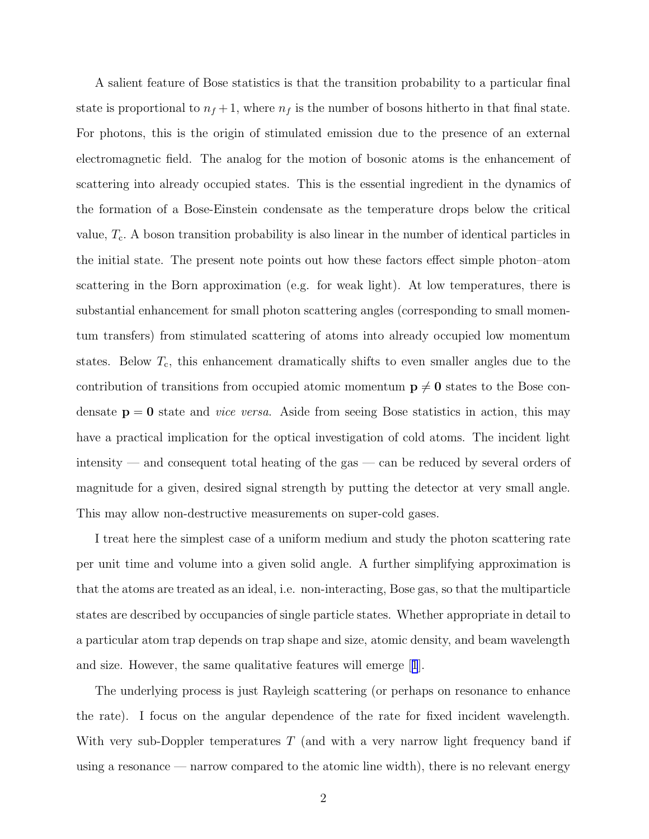A salient feature of Bose statistics is that the transition probability to a particular final state is proportional to  $n_f + 1$ , where  $n_f$  is the number of bosons hitherto in that final state. For photons, this is the origin of stimulated emission due to the presence of an external electromagnetic field. The analog for the motion of bosonic atoms is the enhancement of scattering into already occupied states. This is the essential ingredient in the dynamics of the formation of a Bose-Einstein condensate as the temperature drops below the critical value,  $T_c$ . A boson transition probability is also linear in the number of identical particles in the initial state. The present note points out how these factors effect simple photon–atom scattering in the Born approximation (e.g. for weak light). At low temperatures, there is substantial enhancement for small photon scattering angles (corresponding to small momentum transfers) from stimulated scattering of atoms into already occupied low momentum states. Below  $T_c$ , this enhancement dramatically shifts to even smaller angles due to the contribution of transitions from occupied atomic momentum  $p \neq 0$  states to the Bose condensate  $p = 0$  state and *vice versa*. Aside from seeing Bose statistics in action, this may have a practical implication for the optical investigation of cold atoms. The incident light intensity — and consequent total heating of the gas — can be reduced by several orders of magnitude for a given, desired signal strength by putting the detector at very small angle. This may allow non-destructive measurements on super-cold gases.

I treat here the simplest case of a uniform medium and study the photon scattering rate per unit time and volume into a given solid angle. A further simplifying approximation is that the atoms are treated as an ideal, i.e. non-interacting, Bose gas, so that the multiparticle states are described by occupancies of single particle states. Whether appropriate in detail to a particular atom trap depends on trap shape and size, atomic density, and beam wavelength and size. However, the same qualitative features will emerge[[1](#page-7-0)].

The underlying process is just Rayleigh scattering (or perhaps on resonance to enhance the rate). I focus on the angular dependence of the rate for fixed incident wavelength. With very sub-Doppler temperatures  $T$  (and with a very narrow light frequency band if using a resonance — narrow compared to the atomic line width), there is no relevant energy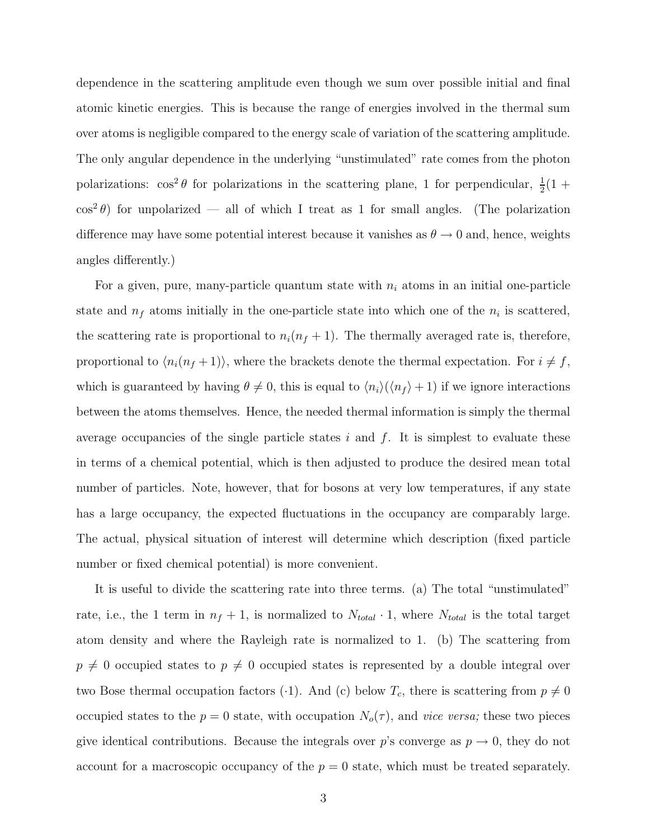dependence in the scattering amplitude even though we sum over possible initial and final atomic kinetic energies. This is because the range of energies involved in the thermal sum over atoms is negligible compared to the energy scale of variation of the scattering amplitude. The only angular dependence in the underlying "unstimulated" rate comes from the photon polarizations:  $\cos^2 \theta$  for polarizations in the scattering plane, 1 for perpendicular,  $\frac{1}{2}(1 +$  $\cos^2 \theta$ ) for unpolarized — all of which I treat as 1 for small angles. (The polarization difference may have some potential interest because it vanishes as  $\theta \to 0$  and, hence, weights angles differently.)

For a given, pure, many-particle quantum state with  $n_i$  atoms in an initial one-particle state and  $n_f$  atoms initially in the one-particle state into which one of the  $n_i$  is scattered, the scattering rate is proportional to  $n_i(n_f + 1)$ . The thermally averaged rate is, therefore, proportional to  $\langle n_i(n_f + 1) \rangle$ , where the brackets denote the thermal expectation. For  $i \neq f$ , which is guaranteed by having  $\theta \neq 0$ , this is equal to  $\langle n_i \rangle(\langle n_f \rangle + 1)$  if we ignore interactions between the atoms themselves. Hence, the needed thermal information is simply the thermal average occupancies of the single particle states i and  $f$ . It is simplest to evaluate these in terms of a chemical potential, which is then adjusted to produce the desired mean total number of particles. Note, however, that for bosons at very low temperatures, if any state has a large occupancy, the expected fluctuations in the occupancy are comparably large. The actual, physical situation of interest will determine which description (fixed particle number or fixed chemical potential) is more convenient.

It is useful to divide the scattering rate into three terms. (a) The total "unstimulated" rate, i.e., the 1 term in  $n_f + 1$ , is normalized to  $N_{total} \cdot 1$ , where  $N_{total}$  is the total target atom density and where the Rayleigh rate is normalized to 1. (b) The scattering from  $p \neq 0$  occupied states to  $p \neq 0$  occupied states is represented by a double integral over two Bose thermal occupation factors (·1). And (c) below  $T_c$ , there is scattering from  $p \neq 0$ occupied states to the  $p = 0$  state, with occupation  $N_o(\tau)$ , and vice versa; these two pieces give identical contributions. Because the integrals over p's converge as  $p \to 0$ , they do not account for a macroscopic occupancy of the  $p = 0$  state, which must be treated separately.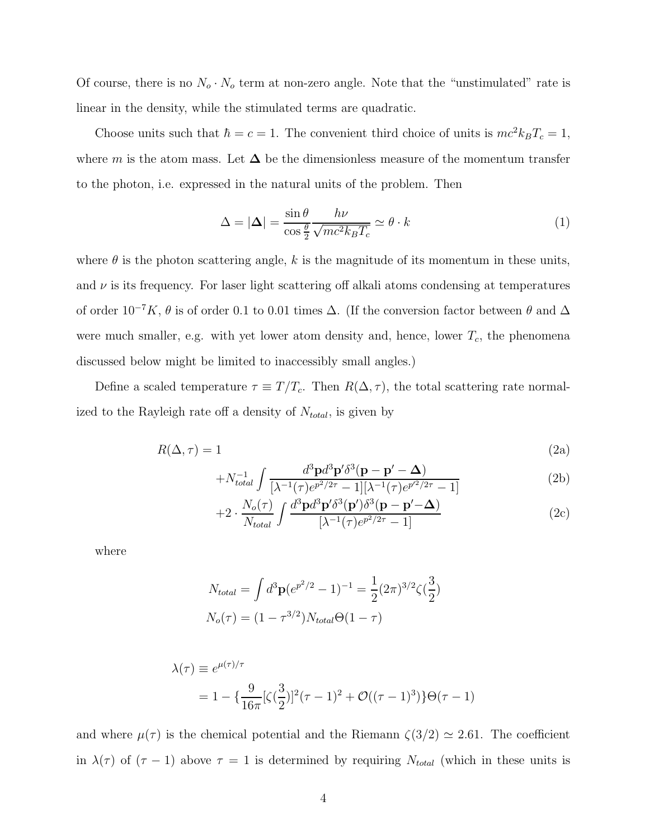Of course, there is no  $N_o \cdot N_o$  term at non-zero angle. Note that the "unstimulated" rate is linear in the density, while the stimulated terms are quadratic.

Choose units such that  $\hbar = c = 1$ . The convenient third choice of units is  $mc^2k_BT_c = 1$ , where m is the atom mass. Let  $\Delta$  be the dimensionless measure of the momentum transfer to the photon, i.e. expressed in the natural units of the problem. Then

$$
\Delta = |\Delta| = \frac{\sin \theta}{\cos \frac{\theta}{2}} \frac{h\nu}{\sqrt{mc^2 k_B T_c}} \simeq \theta \cdot k \tag{1}
$$

where  $\theta$  is the photon scattering angle, k is the magnitude of its momentum in these units, and  $\nu$  is its frequency. For laser light scattering off alkali atoms condensing at temperatures of order  $10^{-7}K$ ,  $\theta$  is of order 0.1 to 0.01 times  $\Delta$ . (If the conversion factor between  $\theta$  and  $\Delta$ were much smaller, e.g. with yet lower atom density and, hence, lower  $T_c$ , the phenomena discussed below might be limited to inaccessibly small angles.)

Define a scaled temperature  $\tau \equiv T/T_c$ . Then  $R(\Delta, \tau)$ , the total scattering rate normalized to the Rayleigh rate off a density of  $N_{total}$ , is given by

$$
R(\Delta, \tau) = 1 \tag{2a}
$$

$$
+N_{total}^{-1} \int \frac{d^3 \mathbf{p} d^3 \mathbf{p}' \delta^3(\mathbf{p} - \mathbf{p}' - \mathbf{\Delta})}{[\lambda^{-1}(\tau)e^{p^2/2\tau} - 1][\lambda^{-1}(\tau)e^{p^2/2\tau} - 1]}
$$
(2b)

$$
+2 \cdot \frac{N_o(\tau)}{N_{total}} \int \frac{d^3 \mathbf{p} d^3 \mathbf{p}' \delta^3(\mathbf{p}') \delta^3(\mathbf{p} - \mathbf{p}' - \mathbf{\Delta})}{[\lambda^{-1}(\tau)e^{p^2/2\tau} - 1]}
$$
(2c)

where

$$
N_{total} = \int d^3 \mathbf{p} (e^{p^2/2} - 1)^{-1} = \frac{1}{2} (2\pi)^{3/2} \zeta(\frac{3}{2})
$$

$$
N_o(\tau) = (1 - \tau^{3/2}) N_{total} \Theta(1 - \tau)
$$

$$
\lambda(\tau) \equiv e^{\mu(\tau)/\tau} \n= 1 - \left\{ \frac{9}{16\pi} [\zeta(\frac{3}{2})]^2 (\tau - 1)^2 + \mathcal{O}((\tau - 1)^3) \right\} \Theta(\tau - 1)
$$

and where  $\mu(\tau)$  is the chemical potential and the Riemann  $\zeta(3/2) \simeq 2.61$ . The coefficient in  $\lambda(\tau)$  of  $(\tau - 1)$  above  $\tau = 1$  is determined by requiring  $N_{total}$  (which in these units is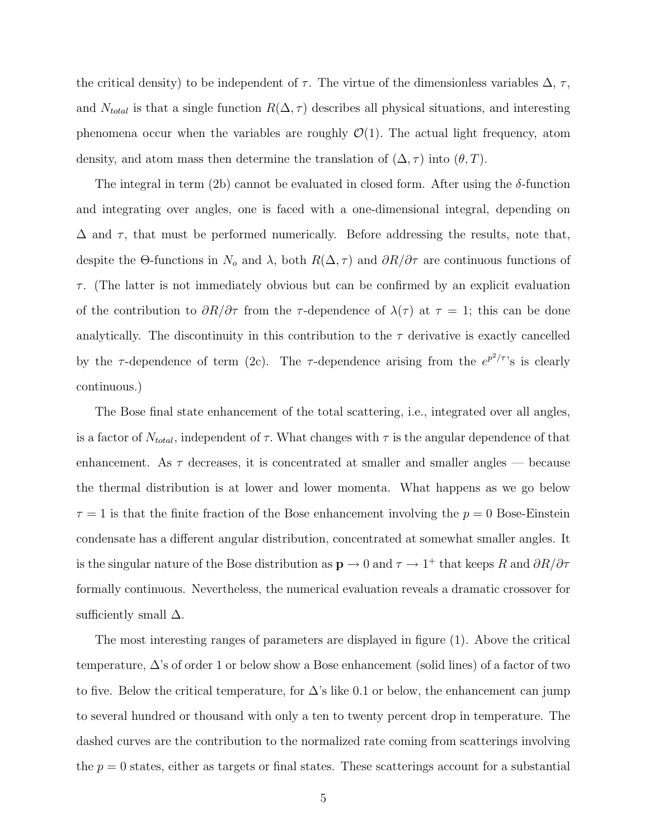the critical density) to be independent of  $\tau$ . The virtue of the dimensionless variables  $\Delta$ ,  $\tau$ , and  $N_{total}$  is that a single function  $R(\Delta, \tau)$  describes all physical situations, and interesting phenomena occur when the variables are roughly  $\mathcal{O}(1)$ . The actual light frequency, atom density, and atom mass then determine the translation of  $(\Delta, \tau)$  into  $(\theta, T)$ .

The integral in term (2b) cannot be evaluated in closed form. After using the  $\delta$ -function and integrating over angles, one is faced with a one-dimensional integral, depending on  $\Delta$  and  $\tau$ , that must be performed numerically. Before addressing the results, note that, despite the Θ-functions in  $N_o$  and  $\lambda$ , both  $R(\Delta, \tau)$  and  $\partial R/\partial \tau$  are continuous functions of  $\tau$ . (The latter is not immediately obvious but can be confirmed by an explicit evaluation of the contribution to  $\partial R/\partial \tau$  from the  $\tau$ -dependence of  $\lambda(\tau)$  at  $\tau = 1$ ; this can be done analytically. The discontinuity in this contribution to the  $\tau$  derivative is exactly cancelled by the  $\tau$ -dependence of term (2c). The  $\tau$ -dependence arising from the  $e^{p^2/\tau}$ 's is clearly continuous.)

The Bose final state enhancement of the total scattering, i.e., integrated over all angles, is a factor of  $N_{total}$ , independent of  $\tau$ . What changes with  $\tau$  is the angular dependence of that enhancement. As  $\tau$  decreases, it is concentrated at smaller and smaller angles — because the thermal distribution is at lower and lower momenta. What happens as we go below  $\tau = 1$  is that the finite fraction of the Bose enhancement involving the  $p = 0$  Bose-Einstein condensate has a different angular distribution, concentrated at somewhat smaller angles. It is the singular nature of the Bose distribution as  $\mathbf{p} \to 0$  and  $\tau \to 1^+$  that keeps R and  $\partial R/\partial \tau$ formally continuous. Nevertheless, the numerical evaluation reveals a dramatic crossover for sufficiently small  $\Delta$ .

The most interesting ranges of parameters are displayed in figure (1). Above the critical temperature,  $\Delta$ 's of order 1 or below show a Bose enhancement (solid lines) of a factor of two to five. Below the critical temperature, for  $\Delta$ 's like 0.1 or below, the enhancement can jump to several hundred or thousand with only a ten to twenty percent drop in temperature. The dashed curves are the contribution to the normalized rate coming from scatterings involving the  $p = 0$  states, either as targets or final states. These scatterings account for a substantial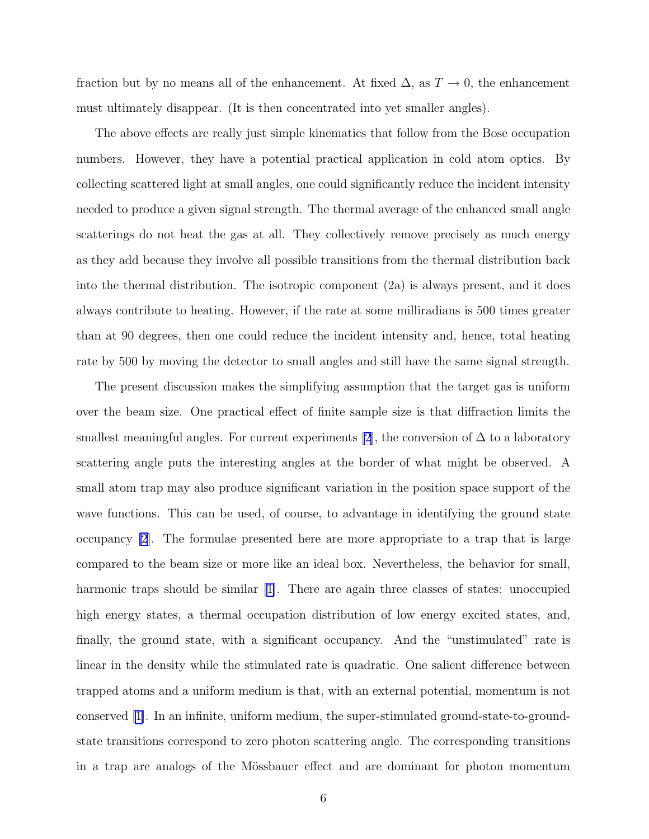fraction but by no means all of the enhancement. At fixed  $\Delta$ , as  $T \to 0$ , the enhancement must ultimately disappear. (It is then concentrated into yet smaller angles).

The above effects are really just simple kinematics that follow from the Bose occupation numbers. However, they have a potential practical application in cold atom optics. By collecting scattered light at small angles, one could significantly reduce the incident intensity needed to produce a given signal strength. The thermal average of the enhanced small angle scatterings do not heat the gas at all. They collectively remove precisely as much energy as they add because they involve all possible transitions from the thermal distribution back into the thermal distribution. The isotropic component (2a) is always present, and it does always contribute to heating. However, if the rate at some milliradians is 500 times greater than at 90 degrees, then one could reduce the incident intensity and, hence, total heating rate by 500 by moving the detector to small angles and still have the same signal strength.

The present discussion makes the simplifying assumption that the target gas is uniform over the beam size. One practical effect of finite sample size is that diffraction limits the smallest meaningful angles. For current experiments [\[2](#page-7-0)], the conversion of  $\Delta$  to a laboratory scattering angle puts the interesting angles at the border of what might be observed. A small atom trap may also produce significant variation in the position space support of the wave functions. This can be used, of course, to advantage in identifying the ground state occupancy [\[2](#page-7-0)]. The formulae presented here are more appropriate to a trap that is large compared to the beam size or more like an ideal box. Nevertheless, the behavior for small, harmonic traps should be similar[[1\]](#page-7-0). There are again three classes of states: unoccupied high energy states, a thermal occupation distribution of low energy excited states, and, finally, the ground state, with a significant occupancy. And the "unstimulated" rate is linear in the density while the stimulated rate is quadratic. One salient difference between trapped atoms and a uniform medium is that, with an external potential, momentum is not conserved[[1\]](#page-7-0). In an infinite, uniform medium, the super-stimulated ground-state-to-groundstate transitions correspond to zero photon scattering angle. The corresponding transitions in a trap are analogs of the Mössbauer effect and are dominant for photon momentum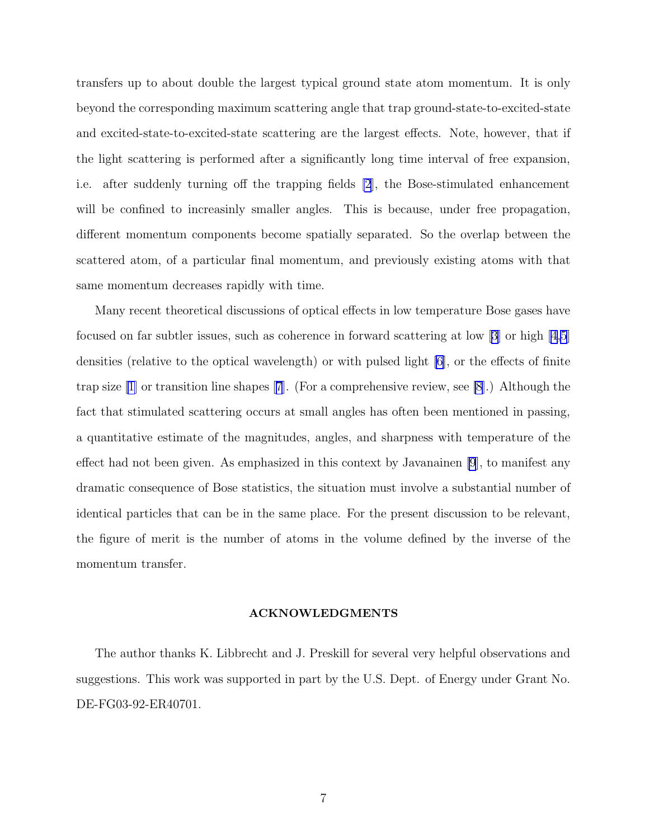transfers up to about double the largest typical ground state atom momentum. It is only beyond the corresponding maximum scattering angle that trap ground-state-to-excited-state and excited-state-to-excited-state scattering are the largest effects. Note, however, that if the light scattering is performed after a significantly long time interval of free expansion, i.e. after suddenly turning off the trapping fields [\[2](#page-7-0)], the Bose-stimulated enhancement will be confined to increasinly smaller angles. This is because, under free propagation, different momentum components become spatially separated. So the overlap between the scattered atom, of a particular final momentum, and previously existing atoms with that same momentum decreases rapidly with time.

Many recent theoretical discussions of optical effects in low temperature Bose gases have focused on far subtler issues, such as coherence in forward scattering at low  $|3|$  or high  $|4,5|$ densities (relative to the optical wavelength) or with pulsed light [\[6](#page-7-0)], or the effects of finite trap size [\[1\]](#page-7-0) or transition line shapes[[7](#page-7-0)]. (For a comprehensive review, see [\[8](#page-7-0)].) Although the fact that stimulated scattering occurs at small angles has often been mentioned in passing, a quantitative estimate of the magnitudes, angles, and sharpness with temperature of the effect had not been given. As emphasized in this context by Javanainen [\[9](#page-7-0)], to manifest any dramatic consequence of Bose statistics, the situation must involve a substantial number of identical particles that can be in the same place. For the present discussion to be relevant, the figure of merit is the number of atoms in the volume defined by the inverse of the momentum transfer.

#### ACKNOWLEDGMENTS

The author thanks K. Libbrecht and J. Preskill for several very helpful observations and suggestions. This work was supported in part by the U.S. Dept. of Energy under Grant No. DE-FG03-92-ER40701.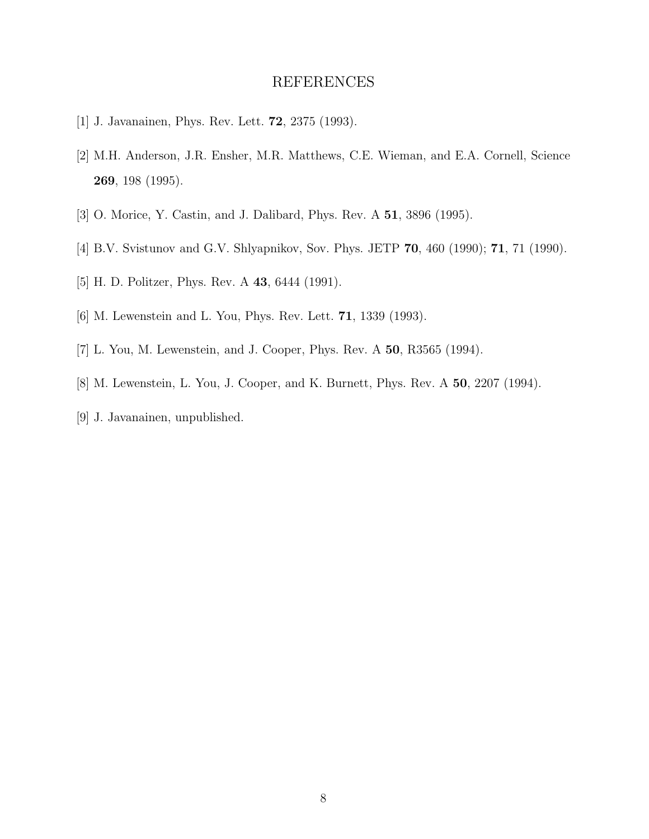## REFERENCES

- <span id="page-7-0"></span>[1] J. Javanainen, Phys. Rev. Lett. 72, 2375 (1993).
- [2] M.H. Anderson, J.R. Ensher, M.R. Matthews, C.E. Wieman, and E.A. Cornell, Science 269, 198 (1995).
- [3] O. Morice, Y. Castin, and J. Dalibard, Phys. Rev. A 51, 3896 (1995).
- [4] B.V. Svistunov and G.V. Shlyapnikov, Sov. Phys. JETP 70, 460 (1990); 71, 71 (1990).
- [5] H. D. Politzer, Phys. Rev. A 43, 6444 (1991).
- [6] M. Lewenstein and L. You, Phys. Rev. Lett. 71, 1339 (1993).
- [7] L. You, M. Lewenstein, and J. Cooper, Phys. Rev. A 50, R3565 (1994).
- [8] M. Lewenstein, L. You, J. Cooper, and K. Burnett, Phys. Rev. A 50, 2207 (1994).
- [9] J. Javanainen, unpublished.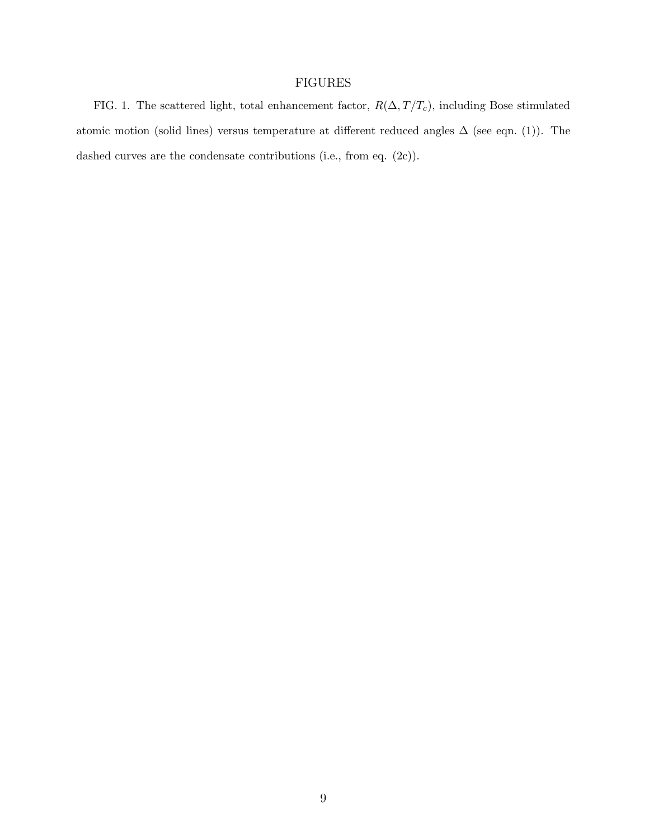## FIGURES

FIG. 1. The scattered light, total enhancement factor,  $R(\Delta, T/T_c)$ , including Bose stimulated atomic motion (solid lines) versus temperature at different reduced angles  $\Delta$  (see eqn. (1)). The dashed curves are the condensate contributions (i.e., from eq.  $(2c)$ ).